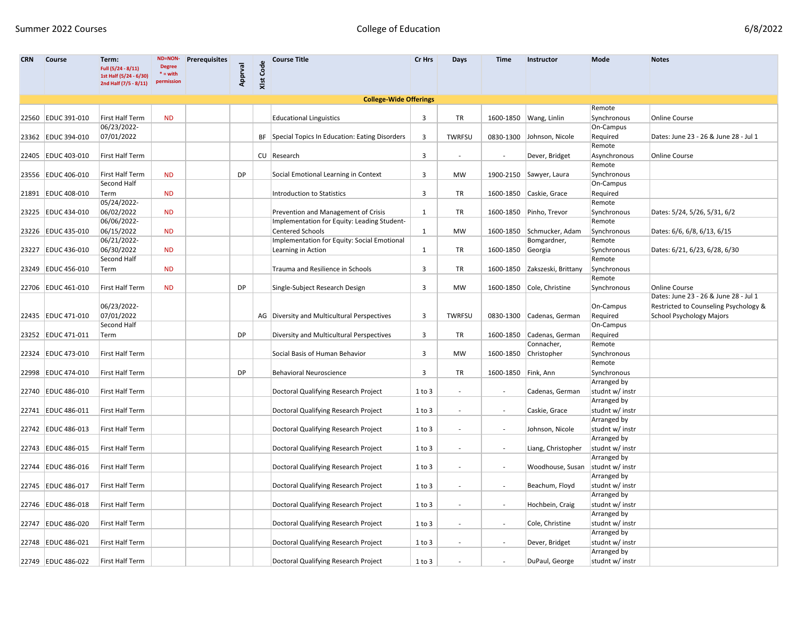| <b>CRN</b> | <b>Course</b>        | Term:<br>Full (5/24 - 8/11)<br>1st Half (5/24 - 6/30)<br>2nd Half (7/5 - 8/11) | ND=NON-<br><b>Degree</b><br>$* = with$<br>permission | <b>Prerequisites</b> | Apprval   | XIst Code | <b>Course Title</b>                                                                | Cr Hrs       | Days                     | Time                     | Instructor                         | Mode                                          | <b>Notes</b>                                                  |
|------------|----------------------|--------------------------------------------------------------------------------|------------------------------------------------------|----------------------|-----------|-----------|------------------------------------------------------------------------------------|--------------|--------------------------|--------------------------|------------------------------------|-----------------------------------------------|---------------------------------------------------------------|
|            |                      |                                                                                |                                                      |                      |           |           | <b>College-Wide Offerings</b>                                                      |              |                          |                          |                                    |                                               |                                                               |
|            | 22560 EDUC 391-010   | First Half Term                                                                | <b>ND</b>                                            |                      |           |           | <b>Educational Linguistics</b>                                                     | 3            | TR                       |                          | 1600-1850   Wang, Linlin           | Remote<br>Synchronous                         | <b>Online Course</b>                                          |
|            | 23362 EDUC 394-010   | 06/23/2022-<br>07/01/2022                                                      |                                                      |                      |           |           | BF Special Topics In Education: Eating Disorders                                   | 3            | <b>TWRFSU</b>            | 0830-1300                | Johnson, Nicole                    | On-Campus<br>Required<br>Remote               | Dates: June 23 - 26 & June 28 - Jul 1                         |
|            | 22405 EDUC 403-010   | First Half Term                                                                |                                                      |                      |           |           | CU Research                                                                        | 3            |                          | $\sim$                   | Dever, Bridget                     | Asynchronous                                  | Online Course                                                 |
|            | 23556 EDUC 406-010   | First Half Term<br>Second Half                                                 | <b>ND</b>                                            |                      | DP        |           | Social Emotional Learning in Context                                               | 3            | MW                       |                          | 1900-2150 Sawyer, Laura            | Remote<br>Synchronous<br>On-Campus            |                                                               |
|            | 21891 EDUC 408-010   | Term<br>05/24/2022-                                                            | <b>ND</b>                                            |                      |           |           | <b>Introduction to Statistics</b>                                                  | 3            | TR                       |                          | 1600-1850 Caskie, Grace            | Required<br>Remote                            |                                                               |
|            | 23225 EDUC 434-010   | 06/02/2022<br>06/06/2022-                                                      | <b>ND</b>                                            |                      |           |           | Prevention and Management of Crisis<br>Implementation for Equity: Leading Student- | 1            | TR                       |                          | 1600-1850 Pinho, Trevor            | Synchronous<br>Remote                         | Dates: 5/24, 5/26, 5/31, 6/2                                  |
|            | 23226 EDUC 435-010   | 06/15/2022                                                                     | <b>ND</b>                                            |                      |           |           | <b>Centered Schools</b>                                                            | $\mathbf{1}$ | <b>MW</b>                |                          | 1600-1850 Schmucker, Adam          | Synchronous                                   | Dates: 6/6, 6/8, 6/13, 6/15                                   |
|            |                      | 06/21/2022-                                                                    |                                                      |                      |           |           | Implementation for Equity: Social Emotional                                        |              |                          |                          | Bomgardner,                        | Remote                                        |                                                               |
|            | 23227 EDUC 436-010   | 06/30/2022                                                                     | <b>ND</b>                                            |                      |           |           | Learning in Action                                                                 | 1            | TR                       | 1600-1850 Georgia        |                                    | Synchronous                                   | Dates: 6/21, 6/23, 6/28, 6/30                                 |
|            |                      | Second Half                                                                    |                                                      |                      |           |           |                                                                                    |              |                          |                          |                                    | Remote                                        |                                                               |
|            | 23249 EDUC 456-010   | Term                                                                           | <b>ND</b>                                            |                      |           |           | Trauma and Resilience in Schools                                                   | 3            | TR                       |                          | 1600-1850 Zakszeski, Brittany      | Synchronous<br>Remote                         |                                                               |
|            | 22706 EDUC 461-010   | First Half Term                                                                | <b>ND</b>                                            |                      | <b>DP</b> |           | Single-Subject Research Design                                                     | 3            | <b>MW</b>                |                          | 1600-1850 Cole, Christine          | Synchronous                                   | <b>Online Course</b><br>Dates: June 23 - 26 & June 28 - Jul 1 |
|            |                      | 06/23/2022-                                                                    |                                                      |                      |           |           |                                                                                    |              |                          |                          |                                    | On-Campus                                     | Restricted to Counseling Psychology &                         |
|            | 22435 EDUC 471-010   | 07/01/2022                                                                     |                                                      |                      |           |           | AG   Diversity and Multicultural Perspectives                                      | 3            | <b>TWRFSU</b>            |                          | 0830-1300 Cadenas, German          | Required                                      | <b>School Psychology Majors</b>                               |
|            | 23252 EDUC 471-011   | Second Half<br>Term                                                            |                                                      |                      | DP        |           | Diversity and Multicultural Perspectives                                           | 3            | TR                       |                          | 1600-1850 Cadenas, German          | On-Campus<br>Required                         |                                                               |
|            | 22324 EDUC 473-010   | First Half Term                                                                |                                                      |                      |           |           | Social Basis of Human Behavior                                                     | 3            | <b>MW</b>                | 1600-1850                | Connacher,<br>Christopher          | Remote<br>Synchronous                         |                                                               |
|            | 22998 EDUC 474-010   | First Half Term                                                                |                                                      |                      | DP        |           | <b>Behavioral Neuroscience</b>                                                     | 3            | TR                       | 1600-1850 Fink, Ann      |                                    | Remote<br>Synchronous                         |                                                               |
|            |                      |                                                                                |                                                      |                      |           |           |                                                                                    |              |                          |                          |                                    | Arranged by                                   |                                                               |
|            | 22740 EDUC 486-010   | First Half Term                                                                |                                                      |                      |           |           | Doctoral Qualifying Research Project                                               | $1$ to $3$   | $\overline{\phantom{a}}$ | $\overline{\phantom{a}}$ | Cadenas, German                    | studnt w/ instr                               |                                                               |
|            | 22741 EDUC 486-011   | First Half Term                                                                |                                                      |                      |           |           | Doctoral Qualifying Research Project                                               | $1$ to $3$   | $\overline{\phantom{a}}$ | $\overline{\phantom{a}}$ | Caskie, Grace                      | Arranged by<br>studnt w/ instr<br>Arranged by |                                                               |
|            | 22742 EDUC 486-013   | First Half Term                                                                |                                                      |                      |           |           | Doctoral Qualifying Research Project                                               | $1$ to $3$   |                          |                          | Johnson, Nicole                    | studnt w/ instr<br>Arranged by                |                                                               |
|            | 22743 EDUC 486-015   | First Half Term                                                                |                                                      |                      |           |           | Doctoral Qualifying Research Project                                               | $1$ to $3$   |                          | $\overline{\phantom{a}}$ | Liang, Christopher                 | studnt w/ instr<br>Arranged by                |                                                               |
|            | 22744 EDUC 486-016   | First Half Term                                                                |                                                      |                      |           |           | Doctoral Qualifying Research Project                                               | 1 to 3       |                          |                          | Woodhouse, Susan   studnt w/ instr | Arranged by                                   |                                                               |
|            | 22745   EDUC 486-017 | First Half Term                                                                |                                                      |                      |           |           | Doctoral Qualifying Research Project                                               | 1 to 3       |                          | $\overline{\phantom{a}}$ | Beachum, Floyd                     | studnt w/ instr<br>Arranged by                |                                                               |
|            | 22746 EDUC 486-018   | First Half Term                                                                |                                                      |                      |           |           | Doctoral Qualifying Research Project                                               | 1 to 3       |                          | $\overline{\phantom{a}}$ | Hochbein, Craig                    | studnt w/ instr<br>Arranged by                |                                                               |
|            | 22747 EDUC 486-020   | First Half Term                                                                |                                                      |                      |           |           | Doctoral Qualifying Research Project                                               | 1 to 3       |                          | $\overline{\phantom{a}}$ | Cole, Christine                    | studnt w/ instr                               |                                                               |
|            | 22748 EDUC 486-021   | First Half Term                                                                |                                                      |                      |           |           | Doctoral Qualifying Research Project                                               | 1 to 3       | $\overline{\phantom{a}}$ | $\overline{\phantom{a}}$ | Dever, Bridget                     | Arranged by<br>studnt w/ instr                |                                                               |
|            | 22749 EDUC 486-022   | First Half Term                                                                |                                                      |                      |           |           | Doctoral Qualifying Research Project                                               | $1$ to $3$   |                          | $\overline{\phantom{a}}$ | DuPaul, George                     | Arranged by<br>studnt w/ instr                |                                                               |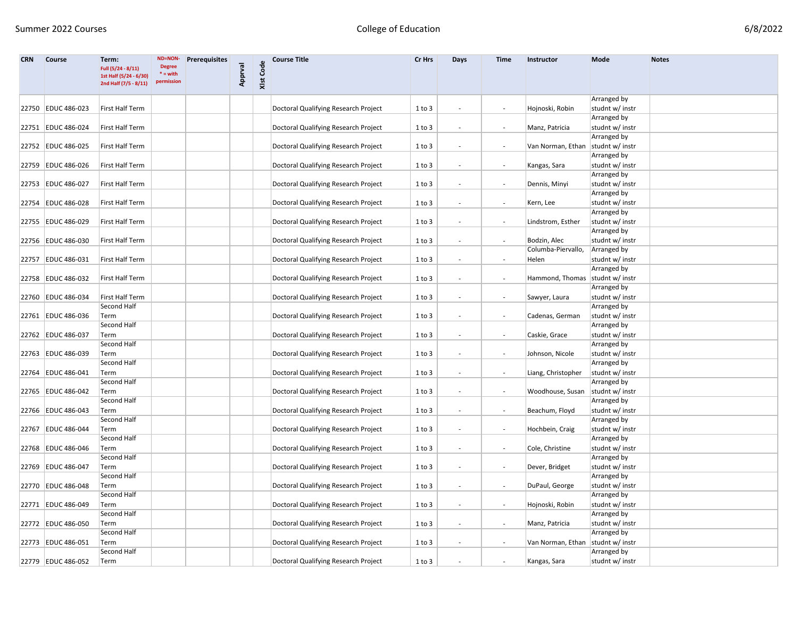| <b>CRN</b> | <b>Course</b>        | Term:<br>Full (5/24 - 8/11)                     | ND=NON-<br><b>Degree</b><br>$*$ = with | <b>Prerequisites</b> | Apprval | XIst Code | <b>Course Title</b>                  | Cr Hrs     | Days                     | Time                     | Instructor         | Mode                           | <b>Notes</b> |
|------------|----------------------|-------------------------------------------------|----------------------------------------|----------------------|---------|-----------|--------------------------------------|------------|--------------------------|--------------------------|--------------------|--------------------------------|--------------|
|            |                      | 1st Half (5/24 - 6/30)<br>2nd Half (7/5 - 8/11) | permission                             |                      |         |           |                                      |            |                          |                          |                    |                                |              |
|            |                      |                                                 |                                        |                      |         |           |                                      |            |                          |                          |                    | Arranged by                    |              |
|            | 22750 EDUC 486-023   | First Half Term                                 |                                        |                      |         |           | Doctoral Qualifying Research Project | $1$ to $3$ | $\overline{\phantom{a}}$ | $\overline{\phantom{a}}$ | Hojnoski, Robin    | studnt w/ instr                |              |
|            |                      |                                                 |                                        |                      |         |           |                                      |            |                          |                          |                    | Arranged by                    |              |
|            | 22751 EDUC 486-024   | First Half Term                                 |                                        |                      |         |           | Doctoral Qualifying Research Project | $1$ to $3$ | $\overline{\phantom{a}}$ |                          | Manz, Patricia     | studnt w/ instr                |              |
|            |                      |                                                 |                                        |                      |         |           |                                      |            |                          |                          |                    | Arranged by                    |              |
|            | 22752 EDUC 486-025   | First Half Term                                 |                                        |                      |         |           | Doctoral Qualifying Research Project | 1 to 3     | $\overline{\phantom{a}}$ |                          | Van Norman, Ethan  | studnt w/ instr                |              |
|            |                      |                                                 |                                        |                      |         |           |                                      |            |                          |                          |                    | Arranged by                    |              |
|            | 22759 EDUC 486-026   | First Half Term                                 |                                        |                      |         |           | Doctoral Qualifying Research Project | 1 to 3     | $\overline{\phantom{a}}$ | $\overline{\phantom{a}}$ | Kangas, Sara       | studnt w/ instr                |              |
|            |                      |                                                 |                                        |                      |         |           |                                      |            |                          |                          |                    | Arranged by                    |              |
|            | 22753 EDUC 486-027   | First Half Term                                 |                                        |                      |         |           | Doctoral Qualifying Research Project | $1$ to $3$ | $\overline{\phantom{a}}$ |                          | Dennis, Minyi      | studnt w/ instr                |              |
|            |                      |                                                 |                                        |                      |         |           |                                      |            |                          |                          |                    | Arranged by                    |              |
|            | 22754 EDUC 486-028   | First Half Term                                 |                                        |                      |         |           | Doctoral Qualifying Research Project | 1 to 3     | $\overline{\phantom{a}}$ | $\overline{\phantom{a}}$ | Kern, Lee          | studnt w/ instr                |              |
|            |                      |                                                 |                                        |                      |         |           |                                      |            |                          |                          |                    | Arranged by                    |              |
|            | 22755 EDUC 486-029   | First Half Term                                 |                                        |                      |         |           | Doctoral Qualifying Research Project | 1 to 3     |                          |                          | Lindstrom, Esther  | studnt w/ instr                |              |
|            |                      |                                                 |                                        |                      |         |           |                                      |            |                          |                          |                    | Arranged by                    |              |
|            | 22756 EDUC 486-030   | First Half Term                                 |                                        |                      |         |           | Doctoral Qualifying Research Project | 1 to 3     | $\overline{\phantom{a}}$ | $\overline{\phantom{a}}$ | Bodzin, Alec       | studnt w/ instr                |              |
|            |                      |                                                 |                                        |                      |         |           |                                      |            |                          |                          | Columba-Piervallo, | Arranged by                    |              |
|            | 22757   EDUC 486-031 | First Half Term                                 |                                        |                      |         |           | Doctoral Qualifying Research Project | $1$ to $3$ | $\overline{\phantom{a}}$ |                          | Helen              | studnt w/ instr                |              |
|            |                      |                                                 |                                        |                      |         |           |                                      |            |                          |                          |                    | Arranged by                    |              |
|            | 22758 EDUC 486-032   | First Half Term                                 |                                        |                      |         |           | Doctoral Qualifying Research Project | 1 to 3     | $\overline{\phantom{a}}$ |                          | Hammond, Thomas    | studnt w/ instr                |              |
|            |                      |                                                 |                                        |                      |         |           |                                      |            |                          |                          |                    | Arranged by                    |              |
|            | 22760 EDUC 486-034   | First Half Term                                 |                                        |                      |         |           | Doctoral Qualifying Research Project | $1$ to $3$ | $\overline{\phantom{a}}$ | $\overline{\phantom{a}}$ | Sawyer, Laura      | studnt w/ instr                |              |
|            |                      | Second Half                                     |                                        |                      |         |           |                                      |            |                          |                          |                    | Arranged by                    |              |
|            | 22761 EDUC 486-036   | Term                                            |                                        |                      |         |           | Doctoral Qualifying Research Project | $1$ to $3$ | $\overline{\phantom{a}}$ |                          | Cadenas, German    | studnt w/ instr                |              |
|            |                      | Second Half                                     |                                        |                      |         |           |                                      |            |                          |                          |                    | Arranged by                    |              |
|            | 22762 EDUC 486-037   | Term                                            |                                        |                      |         |           | Doctoral Qualifying Research Project | 1 to 3     | $\overline{\phantom{a}}$ | $\overline{\phantom{a}}$ | Caskie, Grace      | studnt w/ instr                |              |
|            |                      | Second Half                                     |                                        |                      |         |           |                                      |            |                          |                          |                    | Arranged by                    |              |
|            | 22763 EDUC 486-039   | Term                                            |                                        |                      |         |           | Doctoral Qualifying Research Project | 1 to 3     |                          |                          | Johnson, Nicole    | studnt w/ instr                |              |
|            |                      | Second Half                                     |                                        |                      |         |           |                                      |            |                          |                          |                    | Arranged by                    |              |
|            | 22764 EDUC 486-041   | Term                                            |                                        |                      |         |           | Doctoral Qualifying Research Project | 1 to 3     | $\overline{\phantom{a}}$ | $\overline{\phantom{a}}$ | Liang, Christopher | studnt w/ instr                |              |
|            |                      | Second Half                                     |                                        |                      |         |           |                                      |            |                          |                          |                    | Arranged by                    |              |
|            | 22765 EDUC 486-042   | Term                                            |                                        |                      |         |           | Doctoral Qualifying Research Project | $1$ to $3$ | $\overline{\phantom{a}}$ | $\overline{\phantom{a}}$ | Woodhouse, Susan   | studnt w/ instr                |              |
|            |                      | Second Half                                     |                                        |                      |         |           |                                      |            |                          |                          |                    | Arranged by                    |              |
|            | 22766 EDUC 486-043   | Term                                            |                                        |                      |         |           | Doctoral Qualifying Research Project | $1$ to $3$ | $\overline{\phantom{a}}$ |                          | Beachum, Floyd     | studnt w/ instr                |              |
|            | 22767 EDUC 486-044   | Second Half                                     |                                        |                      |         |           | Doctoral Qualifying Research Project |            | $\overline{\phantom{a}}$ |                          | Hochbein, Craig    | Arranged by<br>studnt w/ instr |              |
|            |                      | Term<br>Second Half                             |                                        |                      |         |           |                                      | $1$ to $3$ |                          |                          |                    | Arranged by                    |              |
|            | 22768 EDUC 486-046   |                                                 |                                        |                      |         |           | Doctoral Qualifying Research Project | $1$ to $3$ | $\overline{\phantom{a}}$ |                          |                    | studnt w/ instr                |              |
|            |                      | Term<br>Second Half                             |                                        |                      |         |           |                                      |            |                          |                          | Cole, Christine    | Arranged by                    |              |
|            | 22769 EDUC 486-047   | <b>Term</b>                                     |                                        |                      |         |           |                                      | $1$ to $3$ |                          |                          |                    | studnt w/ instr                |              |
|            |                      | Second Half                                     |                                        |                      |         |           | Doctoral Qualifying Research Project |            |                          |                          | Dever, Bridget     | Arranged by                    |              |
|            | 22770 EDUC 486-048   | Term                                            |                                        |                      |         |           | Doctoral Qualifying Research Project | 1 to 3     |                          |                          | DuPaul, George     | studnt w/ instr                |              |
|            |                      | Second Half                                     |                                        |                      |         |           |                                      |            |                          |                          |                    | <b>Arranged by</b>             |              |
|            | 22771 EDUC 486-049   | Term                                            |                                        |                      |         |           | Doctoral Qualifying Research Project | 1 to 3     | $\overline{\phantom{a}}$ | $\overline{\phantom{a}}$ | Hojnoski, Robin    | studnt w/ instr                |              |
|            |                      | Second Half                                     |                                        |                      |         |           |                                      |            |                          |                          |                    | Arranged by                    |              |
|            | 22772 EDUC 486-050   | Term                                            |                                        |                      |         |           | Doctoral Qualifying Research Project | 1 to 3     | $\overline{\phantom{a}}$ |                          | Manz, Patricia     | studnt w/ instr                |              |
|            |                      | Second Half                                     |                                        |                      |         |           |                                      |            |                          |                          |                    | Arranged by                    |              |
|            | 22773 EDUC 486-051   | Term                                            |                                        |                      |         |           | Doctoral Qualifying Research Project | 1 to 3     | $\overline{\phantom{a}}$ | $\sim$                   | Van Norman, Ethan  | studnt w/ instr                |              |
|            |                      | Second Half                                     |                                        |                      |         |           |                                      |            |                          |                          |                    | Arranged by                    |              |
|            | 22779 EDUC 486-052   | Term                                            |                                        |                      |         |           | Doctoral Qualifying Research Project | 1 to 3     |                          |                          | Kangas, Sara       | studnt w/ instr                |              |
|            |                      |                                                 |                                        |                      |         |           |                                      |            |                          |                          |                    |                                |              |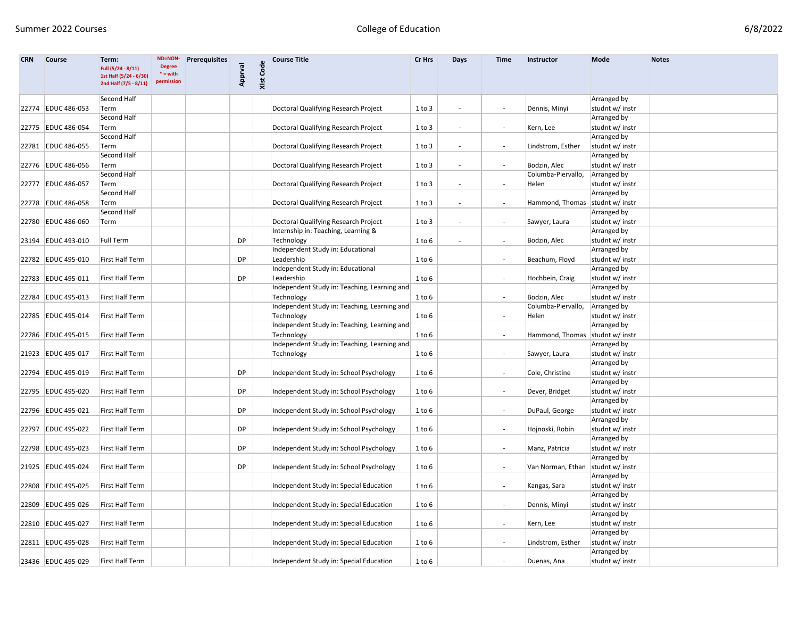| <b>CRN</b> | <b>Course</b>        | Term:<br>Full (5/24 - 8/11)<br>1st Half (5/24 - 6/30)<br>2nd Half (7/5 - 8/11) | <b>ND=NON-</b><br><b>Degree</b><br>$^*$ = with<br>permission | <b>Prerequisites</b> | Apprval   | XIst Code | <b>Course Title</b>                          | Cr Hrs     | Days                     | Time                     | Instructor                          | Mode               | <b>Notes</b> |
|------------|----------------------|--------------------------------------------------------------------------------|--------------------------------------------------------------|----------------------|-----------|-----------|----------------------------------------------|------------|--------------------------|--------------------------|-------------------------------------|--------------------|--------------|
|            |                      | Second Half                                                                    |                                                              |                      |           |           |                                              |            |                          |                          |                                     | Arranged by        |              |
|            | 22774 EDUC 486-053   | Term                                                                           |                                                              |                      |           |           | Doctoral Qualifying Research Project         | 1 to 3     | $\overline{\phantom{a}}$ | $\overline{\phantom{a}}$ | Dennis, Minyi                       | studnt w/ instr    |              |
|            |                      | Second Half                                                                    |                                                              |                      |           |           |                                              |            |                          |                          |                                     | Arranged by        |              |
|            | 22775   EDUC 486-054 | Term                                                                           |                                                              |                      |           |           | Doctoral Qualifying Research Project         | $1$ to $3$ | $\overline{\phantom{a}}$ |                          | Kern, Lee                           | studnt w/ instr    |              |
|            |                      | Second Half                                                                    |                                                              |                      |           |           |                                              |            |                          |                          |                                     | Arranged by        |              |
|            | 22781 EDUC 486-055   | Term                                                                           |                                                              |                      |           |           | Doctoral Qualifying Research Project         | $1$ to $3$ | $\overline{\phantom{a}}$ |                          | Lindstrom, Esther                   | studnt w/ instr    |              |
|            |                      | Second Half                                                                    |                                                              |                      |           |           |                                              |            |                          |                          |                                     | Arranged by        |              |
|            | 22776 EDUC 486-056   | Term                                                                           |                                                              |                      |           |           | Doctoral Qualifying Research Project         | 1 to 3     | $\overline{\phantom{a}}$ | $\overline{\phantom{a}}$ | Bodzin, Alec                        | studnt w/ instr    |              |
|            |                      | Second Half                                                                    |                                                              |                      |           |           |                                              |            |                          |                          | Columba-Piervallo,                  | Arranged by        |              |
|            | 22777 EDUC 486-057   | Term                                                                           |                                                              |                      |           |           | Doctoral Qualifying Research Project         | $1$ to $3$ | $\overline{\phantom{m}}$ |                          | Helen                               | studnt w/ instr    |              |
|            |                      | Second Half                                                                    |                                                              |                      |           |           |                                              |            |                          |                          |                                     | Arranged by        |              |
|            | 22778 EDUC 486-058   | Term                                                                           |                                                              |                      |           |           | Doctoral Qualifying Research Project         |            |                          |                          | Hammond, Thomas                     | studnt w/ instr    |              |
|            |                      | Second Half                                                                    |                                                              |                      |           |           |                                              | $1$ to $3$ | $\overline{\phantom{a}}$ |                          |                                     | Arranged by        |              |
|            |                      |                                                                                |                                                              |                      |           |           |                                              |            |                          |                          |                                     |                    |              |
|            | 22780 EDUC 486-060   | Term                                                                           |                                                              |                      |           |           | Doctoral Qualifying Research Project         | $1$ to $3$ | $\overline{\phantom{a}}$ |                          | Sawyer, Laura                       | studnt w/ instr    |              |
|            |                      |                                                                                |                                                              |                      |           |           | Internship in: Teaching, Learning &          |            |                          |                          |                                     | Arranged by        |              |
|            | 23194 EDUC 493-010   | Full Term                                                                      |                                                              |                      | DP        |           | Technology                                   | 1 to 6     | $\overline{\phantom{a}}$ | $\sim$                   | Bodzin, Alec                        | studnt w/ instr    |              |
|            |                      |                                                                                |                                                              |                      |           |           | Independent Study in: Educational            |            |                          |                          |                                     | Arranged by        |              |
|            | 22782 EDUC 495-010   | <b>First Half Term</b>                                                         |                                                              |                      | DP        |           | Leadership                                   | $1$ to $6$ |                          |                          | Beachum, Floyd                      | studnt w/ instr    |              |
|            |                      |                                                                                |                                                              |                      |           |           | Independent Study in: Educational            |            |                          |                          |                                     | Arranged by        |              |
|            | 22783 EDUC 495-011   | First Half Term                                                                |                                                              |                      | DP        |           | Leadership                                   | 1 to 6     |                          |                          | Hochbein, Craig                     | studnt w/ instr    |              |
|            |                      |                                                                                |                                                              |                      |           |           | Independent Study in: Teaching, Learning and |            |                          |                          |                                     | Arranged by        |              |
|            | 22784 EDUC 495-013   | First Half Term                                                                |                                                              |                      |           |           | Technology                                   | 1 to 6     |                          |                          | Bodzin, Alec                        | studnt w/ instr    |              |
|            |                      |                                                                                |                                                              |                      |           |           | Independent Study in: Teaching, Learning and |            |                          |                          | Columba-Piervallo,                  | Arranged by        |              |
|            | 22785 EDUC 495-014   | First Half Term                                                                |                                                              |                      |           |           | Technology                                   | $1$ to $6$ |                          |                          | Helen                               | studnt w/ instr    |              |
|            |                      |                                                                                |                                                              |                      |           |           | Independent Study in: Teaching, Learning and |            |                          |                          |                                     | Arranged by        |              |
|            | 22786 EDUC 495-015   | First Half Term                                                                |                                                              |                      |           |           | Technology                                   | 1 to 6     |                          |                          | Hammond, Thomas                     | studnt w/ instr    |              |
|            |                      |                                                                                |                                                              |                      |           |           | Independent Study in: Teaching, Learning and |            |                          |                          |                                     | Arranged by        |              |
|            | 21923 EDUC 495-017   | First Half Term                                                                |                                                              |                      |           |           | Technology                                   | 1 to 6     |                          |                          | Sawyer, Laura                       | studnt w/ instr    |              |
|            |                      |                                                                                |                                                              |                      |           |           |                                              |            |                          |                          |                                     | Arranged by        |              |
|            | 22794 EDUC 495-019   | First Half Term                                                                |                                                              |                      | DP        |           | Independent Study in: School Psychology      | 1 to 6     |                          | $\sim$                   | Cole, Christine                     | studnt w/ instr    |              |
|            |                      |                                                                                |                                                              |                      |           |           |                                              |            |                          |                          |                                     | Arranged by        |              |
|            | 22795 EDUC 495-020   | First Half Term                                                                |                                                              |                      | DP        |           | Independent Study in: School Psychology      | $1$ to $6$ |                          | $\overline{\phantom{a}}$ | Dever, Bridget                      | studnt w/ instr    |              |
|            |                      |                                                                                |                                                              |                      |           |           |                                              |            |                          |                          |                                     | Arranged by        |              |
|            | 22796 EDUC 495-021   | First Half Term                                                                |                                                              |                      | DP        |           | Independent Study in: School Psychology      | 1 to 6     |                          |                          | DuPaul, George                      | studnt w/ instr    |              |
|            |                      |                                                                                |                                                              |                      |           |           |                                              |            |                          |                          |                                     | Arranged by        |              |
|            | 22797 EDUC 495-022   | First Half Term                                                                |                                                              |                      | <b>DP</b> |           | Independent Study in: School Psychology      | 1 to 6     |                          |                          | Hojnoski, Robin                     | studnt w/ instr    |              |
|            |                      |                                                                                |                                                              |                      |           |           |                                              |            |                          |                          |                                     | Arranged by        |              |
|            | 22798 EDUC 495-023   | First Half Term                                                                |                                                              |                      | DP        |           | Independent Study in: School Psychology      | $1$ to $6$ |                          |                          | Manz, Patricia                      | studnt w/ instr    |              |
|            |                      |                                                                                |                                                              |                      |           |           |                                              |            |                          |                          |                                     | Arranged by        |              |
|            | 21925 EDUC 495-024   | <b>First Half Term</b>                                                         |                                                              |                      | DP        |           | Independent Study in: School Psychology      | $1$ to $6$ |                          |                          | Van Norman, Ethan   studnt w/ instr |                    |              |
|            |                      |                                                                                |                                                              |                      |           |           |                                              |            |                          |                          |                                     | Arranged by        |              |
|            | 22808 EDUC 495-025   | First Half Term                                                                |                                                              |                      |           |           | Independent Study in: Special Education      | $1$ to $6$ |                          |                          | Kangas, Sara                        | studnt w/ instr    |              |
|            |                      |                                                                                |                                                              |                      |           |           |                                              |            |                          |                          |                                     | <b>Arranged by</b> |              |
|            | 22809 EDUC 495-026   | First Half Term                                                                |                                                              |                      |           |           | Independent Study in: Special Education      | $1$ to $6$ |                          | $\sim$                   | Dennis, Minyi                       | studnt w/ instr    |              |
|            |                      |                                                                                |                                                              |                      |           |           |                                              |            |                          |                          |                                     | Arranged by        |              |
|            | 22810 EDUC 495-027   | First Half Term                                                                |                                                              |                      |           |           | Independent Study in: Special Education      | $1$ to $6$ |                          |                          | Kern, Lee                           | studnt w/ instr    |              |
|            |                      |                                                                                |                                                              |                      |           |           |                                              |            |                          |                          |                                     | Arranged by        |              |
|            | 22811 EDUC 495-028   | First Half Term                                                                |                                                              |                      |           |           | Independent Study in: Special Education      | $1$ to $6$ |                          | $\sim$                   | Lindstrom, Esther                   | studnt w/ instr    |              |
|            |                      |                                                                                |                                                              |                      |           |           |                                              |            |                          |                          |                                     | Arranged by        |              |
|            | 23436 EDUC 495-029   | First Half Term                                                                |                                                              |                      |           |           | Independent Study in: Special Education      | $1$ to $6$ |                          |                          | Duenas, Ana                         | studnt w/ instr    |              |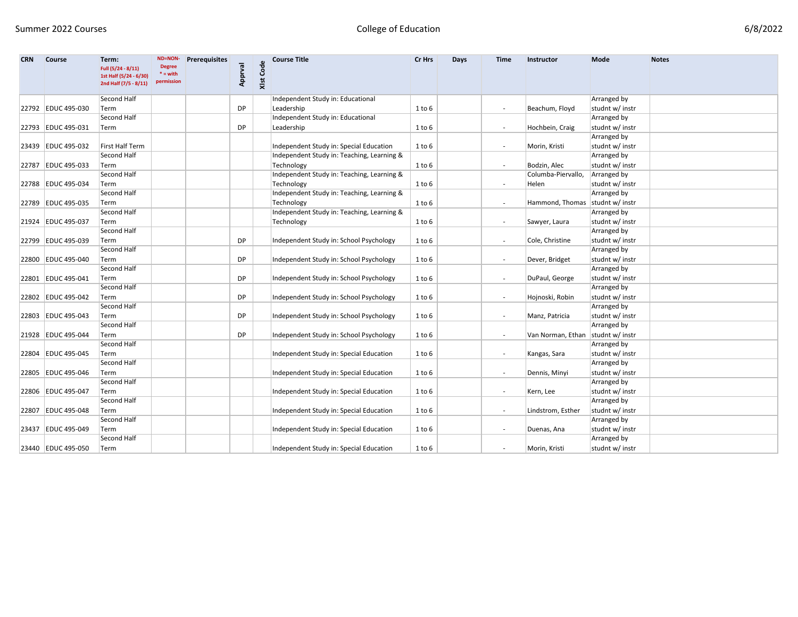| 6/8/2022 |  |
|----------|--|
|----------|--|

| <b>CRN</b> | <b>Course</b>      | Term:<br>Full (5/24 - 8/11)<br>1st Half (5/24 - 6/30) | <b>ND=NON-</b><br><b>Degree</b><br>$^*$ = with | <b>Prerequisites</b> | Apprval   | XIst Code | <b>Course Title</b>                        | Cr Hrs     | Days | <b>Time</b>              | Instructor         | Mode            | <b>Notes</b> |
|------------|--------------------|-------------------------------------------------------|------------------------------------------------|----------------------|-----------|-----------|--------------------------------------------|------------|------|--------------------------|--------------------|-----------------|--------------|
|            |                    | 2nd Half (7/5 - 8/11)                                 | permission                                     |                      |           |           |                                            |            |      |                          |                    |                 |              |
|            |                    | Second Half                                           |                                                |                      |           |           | Independent Study in: Educational          |            |      |                          |                    | Arranged by     |              |
|            | 22792 EDUC 495-030 | Term                                                  |                                                |                      | <b>DP</b> |           | Leadership                                 | 1 to 6     |      | $\blacksquare$           | Beachum, Floyd     | studnt w/ instr |              |
|            |                    | Second Half                                           |                                                |                      |           |           | Independent Study in: Educational          |            |      |                          |                    | Arranged by     |              |
|            | 22793 EDUC 495-031 | Term                                                  |                                                |                      | <b>DP</b> |           | Leadership                                 | 1 to 6     |      | $\overline{\phantom{a}}$ | Hochbein, Craig    | studnt w/ instr |              |
|            |                    |                                                       |                                                |                      |           |           |                                            |            |      |                          |                    | Arranged by     |              |
|            | 23439 EDUC 495-032 | First Half Term                                       |                                                |                      |           |           | Independent Study in: Special Education    | $1$ to $6$ |      | $\overline{\phantom{a}}$ | Morin, Kristi      | studnt w/ instr |              |
|            |                    | Second Half                                           |                                                |                      |           |           | Independent Study in: Teaching, Learning & |            |      |                          |                    | Arranged by     |              |
|            | 22787 EDUC 495-033 | Term                                                  |                                                |                      |           |           | Technology                                 | $1$ to $6$ |      | $\overline{\phantom{a}}$ | Bodzin, Alec       | studnt w/ instr |              |
|            |                    | Second Half                                           |                                                |                      |           |           | Independent Study in: Teaching, Learning & |            |      |                          | Columba-Piervallo, | Arranged by     |              |
|            | 22788 EDUC 495-034 | Term                                                  |                                                |                      |           |           | Technology                                 | $1$ to $6$ |      |                          | Helen              | studnt w/ instr |              |
|            |                    | Second Half                                           |                                                |                      |           |           | Independent Study in: Teaching, Learning & |            |      |                          |                    | Arranged by     |              |
|            | 22789 EDUC 495-035 | Term                                                  |                                                |                      |           |           | Technology                                 | 1 to 6     |      |                          | Hammond, Thomas    | studnt w/ instr |              |
|            |                    | Second Half                                           |                                                |                      |           |           | Independent Study in: Teaching, Learning & |            |      |                          |                    | Arranged by     |              |
|            | 21924 EDUC 495-037 | Term                                                  |                                                |                      |           |           | Technology                                 | 1 to 6     |      | $\overline{\phantom{a}}$ | Sawyer, Laura      | studnt w/ instr |              |
|            |                    | Second Half                                           |                                                |                      |           |           |                                            |            |      |                          |                    | Arranged by     |              |
|            | 22799 EDUC 495-039 | Term                                                  |                                                |                      | <b>DP</b> |           | Independent Study in: School Psychology    | 1 to 6     |      | $\overline{\phantom{a}}$ | Cole, Christine    | studnt w/ instr |              |
|            |                    | Second Half                                           |                                                |                      |           |           |                                            |            |      |                          |                    | Arranged by     |              |
|            | 22800 EDUC 495-040 | Term                                                  |                                                |                      | <b>DP</b> |           | Independent Study in: School Psychology    | $1$ to $6$ |      |                          | Dever, Bridget     | studnt w/ instr |              |
|            |                    | Second Half                                           |                                                |                      |           |           |                                            |            |      |                          |                    | Arranged by     |              |
|            | 22801 EDUC 495-041 | Term                                                  |                                                |                      | DP        |           | Independent Study in: School Psychology    | 1 to 6     |      | $\overline{\phantom{a}}$ | DuPaul, George     | studnt w/ instr |              |
|            |                    | Second Half                                           |                                                |                      |           |           |                                            |            |      |                          |                    | Arranged by     |              |
|            | 22802 EDUC 495-042 | Term                                                  |                                                |                      | <b>DP</b> |           | Independent Study in: School Psychology    | 1 to 6     |      | $\overline{\phantom{a}}$ | Hojnoski, Robin    | studnt w/ instr |              |
|            |                    | Second Half                                           |                                                |                      |           |           |                                            |            |      |                          |                    | Arranged by     |              |
|            | 22803 EDUC 495-043 | Term                                                  |                                                |                      | <b>DP</b> |           | Independent Study in: School Psychology    | 1 to 6     |      | $\overline{\phantom{a}}$ | Manz, Patricia     | studnt w/ instr |              |
|            |                    | Second Half                                           |                                                |                      |           |           |                                            |            |      |                          |                    | Arranged by     |              |
|            | 21928 EDUC 495-044 | Term                                                  |                                                |                      | <b>DP</b> |           | Independent Study in: School Psychology    | 1 to 6     |      | $\overline{\phantom{a}}$ | Van Norman, Ethan  | studnt w/ instr |              |
|            |                    | Second Half                                           |                                                |                      |           |           |                                            |            |      |                          |                    | Arranged by     |              |
|            | 22804 EDUC 495-045 | Term                                                  |                                                |                      |           |           | Independent Study in: Special Education    | 1 to 6     |      | $\overline{\phantom{a}}$ | Kangas, Sara       | studnt w/ instr |              |
|            |                    | Second Half                                           |                                                |                      |           |           |                                            |            |      |                          |                    | Arranged by     |              |
|            | 22805 EDUC 495-046 | Term                                                  |                                                |                      |           |           | Independent Study in: Special Education    | $1$ to $6$ |      |                          | Dennis, Minyi      | studnt w/ instr |              |
|            |                    | Second Half                                           |                                                |                      |           |           |                                            |            |      |                          |                    | Arranged by     |              |
|            | 22806 EDUC 495-047 | Term                                                  |                                                |                      |           |           | Independent Study in: Special Education    | $1$ to $6$ |      |                          | Kern, Lee          | studnt w/ instr |              |
|            |                    | Second Half                                           |                                                |                      |           |           |                                            |            |      |                          |                    | Arranged by     |              |
|            | 22807 EDUC 495-048 | Term                                                  |                                                |                      |           |           | Independent Study in: Special Education    | $1$ to $6$ |      |                          | Lindstrom, Esther  | studnt w/ instr |              |
|            |                    | Second Half                                           |                                                |                      |           |           |                                            |            |      |                          |                    | Arranged by     |              |
|            | 23437 EDUC 495-049 | Term                                                  |                                                |                      |           |           | Independent Study in: Special Education    | $1$ to $6$ |      |                          | Duenas, Ana        | studnt w/ instr |              |
|            |                    | Second Half                                           |                                                |                      |           |           |                                            |            |      |                          |                    | Arranged by     |              |
|            | 23440 EDUC 495-050 | Term                                                  |                                                |                      |           |           | Independent Study in: Special Education    | 1 to 6     |      |                          | Morin, Kristi      | studnt w/ instr |              |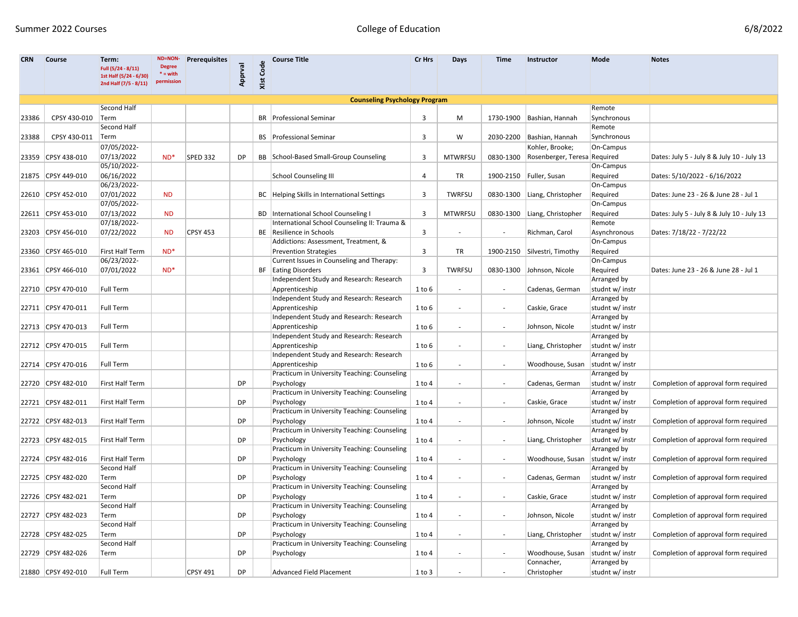| <b>CRN</b> | <b>Course</b>      | Term:<br>Full (5/24 - 8/11)<br>1st Half (5/24 - 6/30)<br>2nd Half (7/5 - 8/11) | ND=NON-<br><b>Degree</b><br>$* = with$<br>permission | <b>Prerequisites</b> | Apprval   | XIst Code | <b>Course Title</b>                           | Cr Hrs     | Days                     | Time                     | Instructor                         | Mode            | <b>Notes</b>                               |
|------------|--------------------|--------------------------------------------------------------------------------|------------------------------------------------------|----------------------|-----------|-----------|-----------------------------------------------|------------|--------------------------|--------------------------|------------------------------------|-----------------|--------------------------------------------|
|            |                    |                                                                                |                                                      |                      |           |           | <b>Counseling Psychology Program</b>          |            |                          |                          |                                    |                 |                                            |
|            |                    | Second Half                                                                    |                                                      |                      |           |           |                                               |            |                          |                          |                                    | Remote          |                                            |
| 23386      | CPSY 430-010       | Term                                                                           |                                                      |                      |           |           | <b>BR</b> Professional Seminar                | 3          | M                        |                          | 1730-1900 Bashian, Hannah          | Synchronous     |                                            |
|            |                    | Second Half                                                                    |                                                      |                      |           |           |                                               |            |                          |                          |                                    | Remote          |                                            |
| 23388      | CPSY 430-011       | Term                                                                           |                                                      |                      |           |           | <b>BS</b> Professional Seminar                | 3          | W                        |                          | 2030-2200 Bashian, Hannah          | Synchronous     |                                            |
|            |                    | 07/05/2022-                                                                    |                                                      |                      |           |           |                                               |            |                          |                          | Kohler, Brooke;                    | On-Campus       |                                            |
|            | 23359 CPSY 438-010 | 07/13/2022                                                                     | $ND^*$                                               | <b>SPED 332</b>      | DP.       |           | BB School-Based Small-Group Counseling        | 3          | <b>MTWRFSU</b>           | 0830-1300                | Rosenberger, Teresa Required       |                 | Dates: July 5 - July 8 & July 10 - July 13 |
|            |                    | 05/10/2022-                                                                    |                                                      |                      |           |           |                                               |            |                          |                          |                                    | On-Campus       |                                            |
|            | 21875 CPSY 449-010 | 06/16/2022                                                                     |                                                      |                      |           |           | <b>School Counseling III</b>                  | 4          | TR                       |                          | 1900-2150   Fuller, Susan          | Required        | Dates: 5/10/2022 - 6/16/2022               |
|            |                    | 06/23/2022-                                                                    |                                                      |                      |           |           |                                               |            |                          |                          |                                    | On-Campus       |                                            |
|            | 22610 CPSY 452-010 | 07/01/2022                                                                     | <b>ND</b>                                            |                      |           |           | BC   Helping Skills in International Settings | 3          | <b>TWRFSU</b>            |                          | 0830-1300 Liang, Christopher       | Required        | Dates: June 23 - 26 & June 28 - Jul 1      |
|            |                    | 07/05/2022-                                                                    |                                                      |                      |           |           |                                               |            |                          |                          |                                    | On-Campus       |                                            |
|            | 22611 CPSY 453-010 | 07/13/2022                                                                     | <b>ND</b>                                            |                      |           |           | <b>BD</b> International School Counseling I   | 3          | <b>MTWRFSU</b>           |                          | 0830-1300 Liang, Christopher       | Required        | Dates: July 5 - July 8 & July 10 - July 13 |
|            |                    | 07/18/2022-                                                                    |                                                      |                      |           |           | International School Counseling II: Trauma &  |            |                          |                          |                                    | Remote          |                                            |
|            | 23203 CPSY 456-010 | 07/22/2022                                                                     | <b>ND</b>                                            | <b>CPSY 453</b>      |           |           | BE Resilience in Schools                      | 3          |                          | $\overline{\phantom{a}}$ | Richman, Carol                     | Asynchronous    | Dates: 7/18/22 - 7/22/22                   |
|            |                    |                                                                                |                                                      |                      |           |           | Addictions: Assessment, Treatment, &          |            |                          |                          |                                    | On-Campus       |                                            |
|            | 23360 CPSY 465-010 | First Half Term                                                                | $ND^*$                                               |                      |           |           | <b>Prevention Strategies</b>                  | 3          | TR                       |                          | 1900-2150 Silvestri, Timothy       | Required        |                                            |
|            |                    | 06/23/2022-                                                                    |                                                      |                      |           |           | Current Issues in Counseling and Therapy:     |            |                          |                          |                                    | On-Campus       |                                            |
|            | 23361 CPSY 466-010 | 07/01/2022                                                                     | $ND^*$                                               |                      |           |           | BF Eating Disorders                           | 3          | <b>TWRFSU</b>            |                          | 0830-1300 Johnson, Nicole          | Required        | Dates: June 23 - 26 & June 28 - Jul 1      |
|            |                    |                                                                                |                                                      |                      |           |           | Independent Study and Research: Research      |            |                          |                          |                                    | Arranged by     |                                            |
|            | 22710 CPSY 470-010 | <b>Full Term</b>                                                               |                                                      |                      |           |           | Apprenticeship                                | 1 to 6     |                          | $\overline{\phantom{a}}$ | Cadenas, German                    | studnt w/ instr |                                            |
|            |                    |                                                                                |                                                      |                      |           |           | Independent Study and Research: Research      |            |                          |                          |                                    | Arranged by     |                                            |
|            | 22711 CPSY 470-011 | <b>Full Term</b>                                                               |                                                      |                      |           |           | Apprenticeship                                | 1 to 6     |                          |                          | Caskie, Grace                      | studnt w/ instr |                                            |
|            |                    |                                                                                |                                                      |                      |           |           | Independent Study and Research: Research      |            |                          |                          |                                    | Arranged by     |                                            |
|            | 22713 CPSY 470-013 | Full Term                                                                      |                                                      |                      |           |           | Apprenticeship                                | 1 to 6     |                          | $\overline{\phantom{a}}$ | Johnson, Nicole                    | studnt w/ instr |                                            |
|            |                    |                                                                                |                                                      |                      |           |           | Independent Study and Research: Research      |            |                          |                          |                                    | Arranged by     |                                            |
|            | 22712 CPSY 470-015 | Full Term                                                                      |                                                      |                      |           |           | Apprenticeship                                | 1 to 6     | $\overline{\phantom{a}}$ | $\overline{\phantom{a}}$ | Liang, Christopher                 | studnt w/ instr |                                            |
|            |                    |                                                                                |                                                      |                      |           |           | Independent Study and Research: Research      |            |                          |                          |                                    | Arranged by     |                                            |
|            | 22714 CPSY 470-016 | Full Term                                                                      |                                                      |                      |           |           | Apprenticeship                                | $1$ to $6$ |                          | $\overline{\phantom{a}}$ | Woodhouse, Susan                   | studnt w/ instr |                                            |
|            |                    |                                                                                |                                                      |                      |           |           | Practicum in University Teaching: Counseling  |            |                          |                          |                                    | Arranged by     |                                            |
|            | 22720 CPSY 482-010 | First Half Term                                                                |                                                      |                      | <b>DP</b> |           | Psychology                                    | 1 to 4     | $\overline{\phantom{a}}$ | $\overline{\phantom{a}}$ | Cadenas, German                    | studnt w/ instr | Completion of approval form required       |
|            |                    |                                                                                |                                                      |                      |           |           | Practicum in University Teaching: Counseling  |            |                          |                          |                                    | Arranged by     |                                            |
|            | 22721 CPSY 482-011 | First Half Term                                                                |                                                      |                      | DP        |           | Psychology                                    | 1 to 4     |                          | $\overline{\phantom{a}}$ | Caskie, Grace                      | studnt w/ instr | Completion of approval form required       |
|            |                    |                                                                                |                                                      |                      |           |           | Practicum in University Teaching: Counseling  |            |                          |                          |                                    | Arranged by     |                                            |
|            | 22722 CPSY 482-013 | First Half Term                                                                |                                                      |                      | <b>DP</b> |           | Psychology                                    | 1 to 4     |                          | $\overline{\phantom{a}}$ | Johnson, Nicole                    | studnt w/ instr | Completion of approval form required       |
|            |                    |                                                                                |                                                      |                      |           |           | Practicum in University Teaching: Counseling  |            |                          |                          |                                    | Arranged by     |                                            |
|            | 22723 CPSY 482-015 | First Half Term                                                                |                                                      |                      | <b>DP</b> |           | Psychology                                    | 1 to 4     |                          | $\overline{\phantom{a}}$ | Liang, Christopher                 | studnt w/ instr | Completion of approval form required       |
|            |                    |                                                                                |                                                      |                      |           |           | Practicum in University Teaching: Counseling  |            |                          |                          |                                    | Arranged by     |                                            |
|            | 22724 CPSY 482-016 | First Half Term                                                                |                                                      |                      | <b>DP</b> |           | Psychology                                    | 1 to 4     |                          | $\overline{\phantom{a}}$ | Woodhouse, Susan   studnt w/ instr |                 | Completion of approval form required       |
|            |                    | Second Half                                                                    |                                                      |                      |           |           | Practicum in University Teaching: Counseling  |            |                          |                          |                                    | Arranged by     |                                            |
|            | 22725 CPSY 482-020 | Term                                                                           |                                                      |                      | DP        |           | Psychology                                    | 1 to 4     |                          | $\overline{\phantom{a}}$ | Cadenas, German                    | studnt w/ instr | Completion of approval form required       |
|            |                    | Second Half                                                                    |                                                      |                      |           |           | Practicum in University Teaching: Counseling  |            |                          |                          |                                    | Arranged by     |                                            |
|            | 22726 CPSY 482-021 | Term                                                                           |                                                      |                      | <b>DP</b> |           | Psychology                                    | 1 to 4     | $\overline{\phantom{a}}$ | $\overline{\phantom{a}}$ | Caskie, Grace                      | studnt w/ instr | Completion of approval form required       |
|            |                    | Second Half                                                                    |                                                      |                      |           |           | Practicum in University Teaching: Counseling  |            |                          |                          |                                    | Arranged by     |                                            |
|            | 22727 CPSY 482-023 | Term                                                                           |                                                      |                      | <b>DP</b> |           | Psychology                                    | 1 to 4     | $\overline{\phantom{a}}$ | $\overline{\phantom{a}}$ | Johnson, Nicole                    | studnt w/ instr | Completion of approval form required       |
|            |                    | Second Half                                                                    |                                                      |                      |           |           | Practicum in University Teaching: Counseling  |            |                          |                          |                                    | Arranged by     |                                            |
|            | 22728 CPSY 482-025 | Term                                                                           |                                                      |                      | DP        |           | Psychology                                    | $1$ to $4$ |                          | $\overline{\phantom{a}}$ | Liang, Christopher                 | studnt w/ instr | Completion of approval form required       |
|            |                    | Second Half                                                                    |                                                      |                      |           |           | Practicum in University Teaching: Counseling  |            |                          |                          |                                    | Arranged by     |                                            |
|            | 22729 CPSY 482-026 | Term                                                                           |                                                      |                      | DP        |           | Psychology                                    | 1 to 4     |                          | $\overline{\phantom{a}}$ | Woodhouse, Susan                   | studnt w/ instr | Completion of approval form required       |
|            |                    |                                                                                |                                                      |                      |           |           |                                               |            |                          |                          | Connacher,                         | Arranged by     |                                            |
|            | 21880 CPSY 492-010 | Full Term                                                                      |                                                      | <b>CPSY 491</b>      | <b>DP</b> |           | Advanced Field Placement                      | 1 to 3     |                          |                          | Christopher                        | studnt w/ instr |                                            |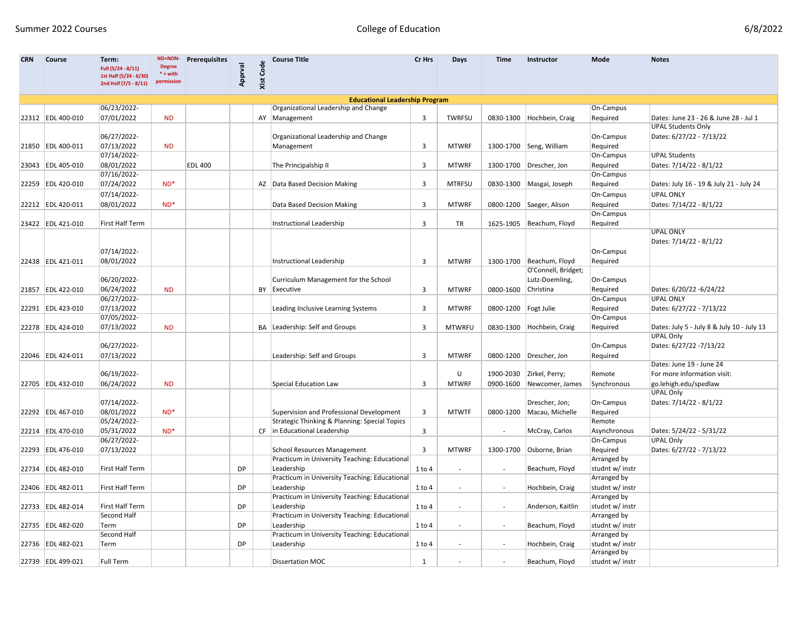| <b>CRN</b> | <b>Course</b>     | Term:<br>Full (5/24 - 8/11)<br>1st Half (5/24 - 6/30)<br>2nd Half (7/5 - 8/11) | <b>ND=NON-</b><br><b>Degree</b><br>$* = with$<br>permission | <b>Prerequisites</b> | Apprval   | XIst Code | <b>Course Title</b>                                         | Cr Hrs       | Days                     | Time                     | Instructor                 | Mode                           | <b>Notes</b>                                                |
|------------|-------------------|--------------------------------------------------------------------------------|-------------------------------------------------------------|----------------------|-----------|-----------|-------------------------------------------------------------|--------------|--------------------------|--------------------------|----------------------------|--------------------------------|-------------------------------------------------------------|
|            |                   |                                                                                |                                                             |                      |           |           | <b>Educational Leadership Program</b>                       |              |                          |                          |                            |                                |                                                             |
|            |                   | 06/23/2022-                                                                    |                                                             |                      |           |           | Organizational Leadership and Change                        |              |                          |                          |                            | On-Campus                      |                                                             |
|            | 22312 EDL 400-010 | 07/01/2022                                                                     | <b>ND</b>                                                   |                      |           |           | AY   Management                                             | 3            | TWRFSU                   | 0830-1300                | Hochbein, Craig            | Required                       | Dates: June 23 - 26 & June 28 - Jul 1                       |
|            |                   |                                                                                |                                                             |                      |           |           |                                                             |              |                          |                          |                            |                                | <b>UPAL Students Only</b>                                   |
|            |                   | 06/27/2022-                                                                    |                                                             |                      |           |           | Organizational Leadership and Change                        |              |                          |                          |                            | On-Campus                      | Dates: 6/27/22 - 7/13/22                                    |
|            | 21850 EDL 400-011 | 07/13/2022                                                                     | <b>ND</b>                                                   |                      |           |           | Management                                                  | 3            | <b>MTWRF</b>             |                          | 1300-1700 Seng, William    | Required                       |                                                             |
|            |                   | 07/14/2022-                                                                    |                                                             |                      |           |           |                                                             |              |                          |                          |                            | On-Campus                      | <b>UPAL Students</b>                                        |
|            | 23043 EDL 405-010 | 08/01/2022<br>07/16/2022-                                                      |                                                             | <b>EDL 400</b>       |           |           | The Principalship II                                        | 3            | <b>MTWRF</b>             |                          | 1300-1700   Drescher, Jon  | Required<br>On-Campus          | Dates: 7/14/22 - 8/1/22                                     |
|            | 22259 EDL 420-010 | 07/24/2022                                                                     | $ND*$                                                       |                      |           |           | AZ Data Based Decision Making                               | 3            | <b>MTRFSU</b>            |                          | 0830-1300 Masgai, Joseph   |                                |                                                             |
|            |                   |                                                                                |                                                             |                      |           |           |                                                             |              |                          |                          |                            | Required                       | Dates: July 16 - 19 & July 21 - July 24<br><b>UPAL ONLY</b> |
|            |                   | 07/14/2022-<br>08/01/2022                                                      | $ND*$                                                       |                      |           |           |                                                             | 3            |                          |                          |                            | On-Campus                      | Dates: 7/14/22 - 8/1/22                                     |
|            | 22212 EDL 420-011 |                                                                                |                                                             |                      |           |           | Data Based Decision Making                                  |              | <b>MTWRF</b>             |                          | 0800-1200 Saeger, Alison   | Required<br>On-Campus          |                                                             |
|            | 23422 EDL 421-010 | First Half Term                                                                |                                                             |                      |           |           | Instructional Leadership                                    | 3            | TR                       |                          | 1625-1905   Beachum, Floyd | Required                       |                                                             |
|            |                   |                                                                                |                                                             |                      |           |           |                                                             |              |                          |                          |                            |                                | <b>UPAL ONLY</b>                                            |
|            |                   |                                                                                |                                                             |                      |           |           |                                                             |              |                          |                          |                            |                                | Dates: 7/14/22 - 8/1/22                                     |
|            |                   | 07/14/2022-                                                                    |                                                             |                      |           |           |                                                             |              |                          |                          |                            | On-Campus                      |                                                             |
|            | 22438 EDL 421-011 | 08/01/2022                                                                     |                                                             |                      |           |           | Instructional Leadership                                    | 3            | <b>MTWRF</b>             | 1300-1700                | Beachum, Floyd             | Required                       |                                                             |
|            |                   |                                                                                |                                                             |                      |           |           |                                                             |              |                          |                          | O'Connell, Bridget;        |                                |                                                             |
|            |                   | 06/20/2022-                                                                    |                                                             |                      |           |           | Curriculum Management for the School                        |              |                          |                          | Lutz-Doemling,             | On-Campus                      |                                                             |
|            | 21857 EDL 422-010 | 06/24/2022                                                                     | <b>ND</b>                                                   |                      |           |           | BY Executive                                                | 3            | <b>MTWRF</b>             | 0800-1600                | Christina                  | Required                       | Dates: 6/20/22 -6/24/22                                     |
|            |                   | 06/27/2022-                                                                    |                                                             |                      |           |           |                                                             |              |                          |                          |                            | On-Campus                      | <b>UPAL ONLY</b>                                            |
|            | 22291 EDL 423-010 | 07/13/2022                                                                     |                                                             |                      |           |           | Leading Inclusive Learning Systems                          | 3            | <b>MTWRF</b>             | 0800-1200 Fogt Julie     |                            | Required                       | Dates: 6/27/22 - 7/13/22                                    |
|            |                   | 07/05/2022-                                                                    |                                                             |                      |           |           |                                                             |              |                          |                          |                            | On-Campus                      |                                                             |
|            | 22278 EDL 424-010 | 07/13/2022                                                                     | <b>ND</b>                                                   |                      |           |           | BA Leadership: Self and Groups                              | 3            | <b>MTWRFU</b>            | 0830-1300                | Hochbein, Craig            | Required                       | Dates: July 5 - July 8 & July 10 - July 13                  |
|            |                   | 06/27/2022-                                                                    |                                                             |                      |           |           |                                                             |              |                          |                          |                            | On-Campus                      | <b>UPAL Only</b><br>Dates: 6/27/22 -7/13/22                 |
|            | 22046 EDL 424-011 | 07/13/2022                                                                     |                                                             |                      |           |           | Leadership: Self and Groups                                 | 3            | <b>MTWRF</b>             |                          | 0800-1200   Drescher, Jon  |                                |                                                             |
|            |                   |                                                                                |                                                             |                      |           |           |                                                             |              |                          |                          |                            | Required                       | Dates: June 19 - June 24                                    |
|            |                   | 06/19/2022-                                                                    |                                                             |                      |           |           |                                                             |              | U                        |                          | 1900-2030 Zirkel, Perry;   | Remote                         | For more information visit:                                 |
|            | 22705 EDL 432-010 | 06/24/2022                                                                     | <b>ND</b>                                                   |                      |           |           | <b>Special Education Law</b>                                | 3            | <b>MTWRF</b>             | 0900-1600                | Newcomer, James            | Synchronous                    | go.lehigh.edu/spedlaw                                       |
|            |                   |                                                                                |                                                             |                      |           |           |                                                             |              |                          |                          |                            |                                | <b>UPAL Only</b>                                            |
|            |                   | 07/14/2022-                                                                    |                                                             |                      |           |           |                                                             |              |                          |                          | Drescher, Jon;             | On-Campus                      | Dates: 7/14/22 - 8/1/22                                     |
|            | 22292 EDL 467-010 | 08/01/2022                                                                     | $ND^*$                                                      |                      |           |           | Supervision and Professional Development                    | 3            | <b>MTWTF</b>             | 0800-1200                | Macau, Michelle            | Required                       |                                                             |
|            |                   | 05/24/2022-                                                                    |                                                             |                      |           |           | Strategic Thinking & Planning: Special Topics               |              |                          |                          |                            | Remote                         |                                                             |
|            | 22214 EDL 470-010 | 05/31/2022                                                                     | $ND^*$                                                      |                      |           |           | CF in Educational Leadership                                | 3            |                          |                          | McCray, Carlos             | Asynchronous                   | Dates: 5/24/22 - 5/31/22                                    |
|            |                   | 06/27/2022-                                                                    |                                                             |                      |           |           |                                                             |              |                          |                          |                            | On-Campus                      | <b>UPAL Only</b>                                            |
|            | 22293 EDL 476-010 | 07/13/2022                                                                     |                                                             |                      |           |           | <b>School Resources Management</b>                          | 3            | <b>MTWRF</b>             |                          | 1300-1700 Osborne, Brian   | Required                       | Dates: 6/27/22 - 7/13/22                                    |
|            |                   |                                                                                |                                                             |                      |           |           | Practicum in University Teaching: Educational               |              |                          |                          |                            | Arranged by                    |                                                             |
|            | 22734 EDL 482-010 | First Half Term                                                                |                                                             |                      | DP        |           | Leadership                                                  | $1$ to $4$   |                          |                          | Beachum, Floyd             | studnt w/ instr                |                                                             |
|            |                   | First Half Term                                                                |                                                             |                      | <b>DP</b> |           | Practicum in University Teaching: Educational               |              |                          |                          |                            | Arranged by                    |                                                             |
|            | 22406 EDL 482-011 |                                                                                |                                                             |                      |           |           | Leadership<br>Practicum in University Teaching: Educational | $1$ to $4$   | $\overline{\phantom{a}}$ | $\overline{\phantom{a}}$ | Hochbein, Craig            | studnt w/ instr<br>Arranged by |                                                             |
|            | 22733 EDL 482-014 | First Half Term                                                                |                                                             |                      | <b>DP</b> |           | Leadership                                                  | $1$ to $4$   | $\overline{\phantom{a}}$ | $\overline{\phantom{a}}$ | Anderson, Kaitlin          | studnt w/ instr                |                                                             |
|            |                   | Second Half                                                                    |                                                             |                      |           |           | Practicum in University Teaching: Educational               |              |                          |                          |                            | <b>Arranged by</b>             |                                                             |
|            | 22735 EDL 482-020 | Term                                                                           |                                                             |                      | DP        |           | Leadership                                                  | $1$ to $4$   |                          | $\overline{\phantom{a}}$ | Beachum, Floyd             | studnt w/ instr                |                                                             |
|            |                   | Second Half                                                                    |                                                             |                      |           |           | Practicum in University Teaching: Educational               |              |                          |                          |                            | Arranged by                    |                                                             |
|            | 22736 EDL 482-021 | Term                                                                           |                                                             |                      | DP        |           | Leadership                                                  | 1 to 4       |                          | $\overline{\phantom{a}}$ | Hochbein, Craig            | studnt w/ instr                |                                                             |
|            |                   |                                                                                |                                                             |                      |           |           |                                                             |              |                          |                          |                            | Arranged by                    |                                                             |
|            | 22739 EDL 499-021 | Full Term                                                                      |                                                             |                      |           |           | Dissertation MOC                                            | $\mathbf{1}$ |                          |                          | Beachum, Floyd             | studnt w/ instr                |                                                             |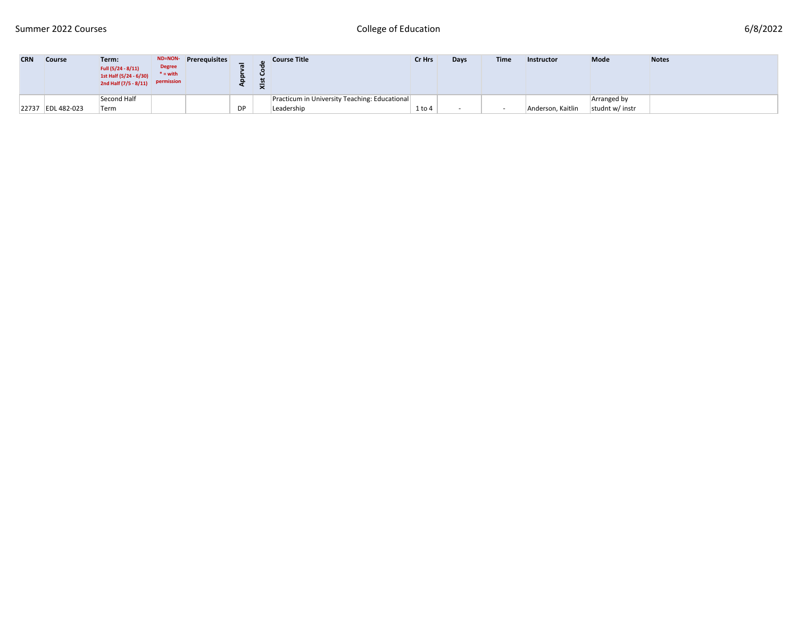| <b>CRN</b> | <b>Course</b>     | Term:<br>Full (5/24 - 8/11)<br>1st Half (5/24 - 6/30)<br>2nd Half $(7/5 - 8/11)$ permission | <b>Degree</b><br>$* =$ with | ND=NON-Prerequisites | α  | <b>Course Title</b>                           | Cr Hrs     | Days   | <b>Time</b> | <b>Instructor</b> | <b>Mode</b>     | <b>Notes</b> |
|------------|-------------------|---------------------------------------------------------------------------------------------|-----------------------------|----------------------|----|-----------------------------------------------|------------|--------|-------------|-------------------|-----------------|--------------|
|            |                   | Second Half                                                                                 |                             |                      |    | Practicum in University Teaching: Educational |            |        |             |                   | Arranged by     |              |
|            | 22737 EDL 482-023 | Term                                                                                        |                             |                      | DP | Leadership                                    | $1$ to $4$ | $\sim$ |             | Anderson, Kaitlin | studnt w/ instr |              |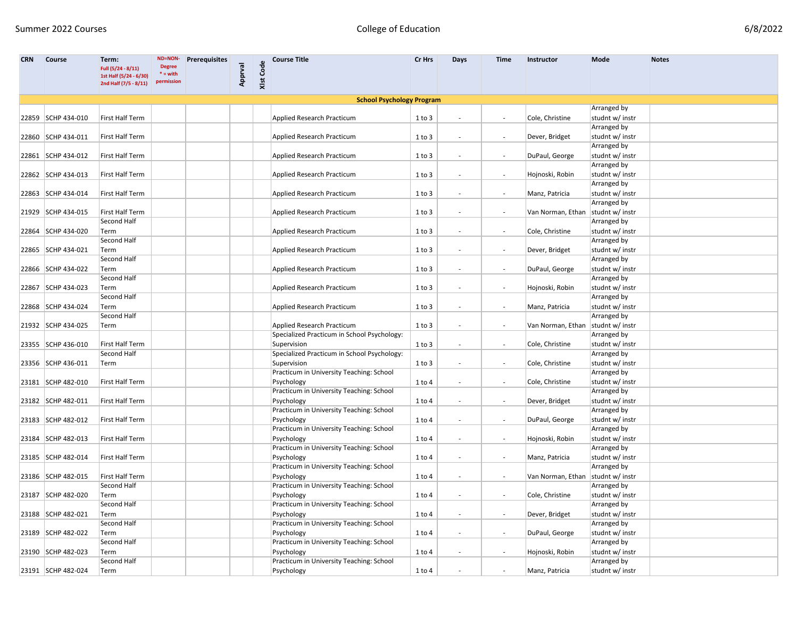| <b>CRN</b> | <b>Course</b>      | Term:                                           | ND=NON-                     | <b>Prerequisites</b> |         |           | <b>Course Title</b>                                    | Cr Hrs     | Days                     | <b>Time</b>              | Instructor                          | Mode                                  | <b>Notes</b> |
|------------|--------------------|-------------------------------------------------|-----------------------------|----------------------|---------|-----------|--------------------------------------------------------|------------|--------------------------|--------------------------|-------------------------------------|---------------------------------------|--------------|
|            |                    | Full (5/24 - 8/11)                              | <b>Degree</b><br>$* = with$ |                      |         |           |                                                        |            |                          |                          |                                     |                                       |              |
|            |                    | 1st Half (5/24 - 6/30)<br>2nd Half (7/5 - 8/11) | permission                  |                      | Apprval | XIst Code |                                                        |            |                          |                          |                                     |                                       |              |
|            |                    |                                                 |                             |                      |         |           |                                                        |            |                          |                          |                                     |                                       |              |
|            |                    |                                                 |                             |                      |         |           | <b>School Psychology Program</b>                       |            |                          |                          |                                     |                                       |              |
|            |                    |                                                 |                             |                      |         |           |                                                        |            |                          |                          |                                     | Arranged by                           |              |
|            | 22859 SCHP 434-010 | First Half Term                                 |                             |                      |         |           | Applied Research Practicum                             | 1 to 3     | $\overline{\phantom{a}}$ | $\overline{\phantom{a}}$ | Cole, Christine                     | studnt w/ instr                       |              |
|            |                    |                                                 |                             |                      |         |           |                                                        |            |                          |                          |                                     | Arranged by                           |              |
|            | 22860 SCHP 434-011 | First Half Term                                 |                             |                      |         |           | Applied Research Practicum                             | $1$ to $3$ | $\overline{\phantom{a}}$ | $\overline{\phantom{a}}$ | Dever, Bridget                      | studnt w/ instr                       |              |
|            |                    |                                                 |                             |                      |         |           |                                                        |            |                          |                          |                                     | Arranged by                           |              |
|            | 22861 SCHP 434-012 | First Half Term                                 |                             |                      |         |           | Applied Research Practicum                             | $1$ to $3$ | $\overline{\phantom{a}}$ |                          | DuPaul, George                      | studnt w/ instr                       |              |
|            |                    |                                                 |                             |                      |         |           |                                                        |            |                          |                          |                                     | Arranged by                           |              |
|            | 22862 SCHP 434-013 | First Half Term                                 |                             |                      |         |           | Applied Research Practicum                             | $1$ to $3$ | $\overline{\phantom{a}}$ |                          | Hojnoski, Robin                     | studnt w/ instr                       |              |
|            |                    |                                                 |                             |                      |         |           |                                                        |            |                          |                          |                                     | Arranged by                           |              |
|            | 22863 SCHP 434-014 | First Half Term                                 |                             |                      |         |           | Applied Research Practicum                             | $1$ to $3$ | $\overline{\phantom{a}}$ | $\overline{\phantom{a}}$ | Manz, Patricia                      | studnt w/ instr                       |              |
|            |                    |                                                 |                             |                      |         |           |                                                        |            |                          |                          |                                     | Arranged by                           |              |
|            | 21929 SCHP 434-015 | First Half Term                                 |                             |                      |         |           | Applied Research Practicum                             | $1$ to $3$ | $\overline{\phantom{a}}$ | $\sim$                   | Van Norman, Ethan                   | studnt w/ instr                       |              |
|            |                    | Second Half                                     |                             |                      |         |           |                                                        |            |                          |                          |                                     | Arranged by                           |              |
|            | 22864 SCHP 434-020 | Term                                            |                             |                      |         |           | Applied Research Practicum                             | 1 to 3     | $\overline{\phantom{a}}$ |                          | Cole, Christine                     | studnt w/ instr                       |              |
|            |                    | Second Half                                     |                             |                      |         |           |                                                        |            |                          |                          |                                     | Arranged by                           |              |
|            | 22865 SCHP 434-021 | Term                                            |                             |                      |         |           | Applied Research Practicum                             | $1$ to $3$ | $\overline{\phantom{a}}$ | $\overline{\phantom{a}}$ | Dever, Bridget                      | studnt w/ instr                       |              |
|            |                    | Second Half                                     |                             |                      |         |           |                                                        |            |                          |                          |                                     | Arranged by                           |              |
|            | 22866 SCHP 434-022 | Term                                            |                             |                      |         |           | Applied Research Practicum                             | $1$ to $3$ | $\overline{\phantom{a}}$ | $\overline{\phantom{a}}$ | DuPaul, George                      | studnt w/ instr                       |              |
|            |                    | Second Half                                     |                             |                      |         |           |                                                        |            |                          |                          |                                     | Arranged by                           |              |
|            | 22867 SCHP 434-023 | Term                                            |                             |                      |         |           | Applied Research Practicum                             | $1$ to $3$ | $\overline{\phantom{a}}$ | $\overline{\phantom{a}}$ | Hojnoski, Robin                     | studnt w/ instr                       |              |
|            |                    | Second Half                                     |                             |                      |         |           |                                                        |            |                          |                          |                                     | Arranged by                           |              |
|            | 22868 SCHP 434-024 | Term                                            |                             |                      |         |           | Applied Research Practicum                             | $1$ to $3$ | $\overline{\phantom{a}}$ |                          | Manz, Patricia                      | studnt w/ instr                       |              |
|            |                    | Second Half                                     |                             |                      |         |           |                                                        |            |                          |                          |                                     | Arranged by                           |              |
|            | 21932 SCHP 434-025 | Term                                            |                             |                      |         |           | Applied Research Practicum                             | 1 to 3     | $\overline{\phantom{a}}$ | $\blacksquare$           | Van Norman, Ethan                   | studnt w/ instr                       |              |
|            |                    |                                                 |                             |                      |         |           | Specialized Practicum in School Psychology:            |            |                          |                          |                                     | Arranged by                           |              |
|            | 23355 SCHP 436-010 | First Half Term                                 |                             |                      |         |           | Supervision                                            | $1$ to $3$ | $\overline{\phantom{a}}$ | $\overline{\phantom{a}}$ | Cole, Christine                     | studnt w/ instr                       |              |
|            |                    | Second Half                                     |                             |                      |         |           | Specialized Practicum in School Psychology:            |            |                          |                          |                                     | Arranged by                           |              |
|            | 23356 SCHP 436-011 | Term                                            |                             |                      |         |           | Supervision                                            | 1 to 3     |                          |                          | Cole, Christine                     | studnt w/ instr                       |              |
|            |                    |                                                 |                             |                      |         |           | Practicum in University Teaching: School               |            |                          |                          |                                     | Arranged by                           |              |
|            | 23181 SCHP 482-010 | First Half Term                                 |                             |                      |         |           | Psychology<br>Practicum in University Teaching: School | 1 to 4     | $\overline{\phantom{a}}$ | $\overline{\phantom{a}}$ | Cole, Christine                     | studnt w/ instr                       |              |
|            |                    |                                                 |                             |                      |         |           |                                                        |            |                          |                          |                                     | Arranged by                           |              |
|            | 23182 SCHP 482-011 | First Half Term                                 |                             |                      |         |           | Psychology<br>Practicum in University Teaching: School | 1 to 4     | $\overline{\phantom{a}}$ |                          | Dever, Bridget                      | studnt w/ instr<br><b>Arranged by</b> |              |
|            | 23183 SCHP 482-012 | First Half Term                                 |                             |                      |         |           | Psychology                                             |            | $\overline{\phantom{a}}$ |                          |                                     | studnt w/ instr                       |              |
|            |                    |                                                 |                             |                      |         |           | Practicum in University Teaching: School               | 1 to 4     |                          | $\overline{\phantom{a}}$ | DuPaul, George                      | Arranged by                           |              |
|            | 23184 SCHP 482-013 | First Half Term                                 |                             |                      |         |           | Psychology                                             | 1 to 4     | $\overline{\phantom{a}}$ |                          | Hojnoski, Robin                     | studnt w/ instr                       |              |
|            |                    |                                                 |                             |                      |         |           | Practicum in University Teaching: School               |            |                          |                          |                                     | Arranged by                           |              |
|            | 23185 SCHP 482-014 | First Half Term                                 |                             |                      |         |           | Psychology                                             | 1 to 4     |                          |                          | Manz, Patricia                      | studnt w/ instr                       |              |
|            |                    |                                                 |                             |                      |         |           | Practicum in University Teaching: School               |            |                          |                          |                                     | Arranged by                           |              |
|            | 23186 SCHP 482-015 | First Half Term                                 |                             |                      |         |           | Psychology                                             | 1 to 4     | $\overline{\phantom{a}}$ | $\overline{\phantom{a}}$ | Van Norman, Ethan   studnt w/ instr |                                       |              |
|            |                    | Second Half                                     |                             |                      |         |           | Practicum in University Teaching: School               |            |                          |                          |                                     | Arranged by                           |              |
|            | 23187 SCHP 482-020 | Term                                            |                             |                      |         |           | Psychology                                             | $1$ to $4$ | $\overline{\phantom{a}}$ | $\overline{\phantom{a}}$ | Cole, Christine                     | studnt w/ instr                       |              |
|            |                    | Second Half                                     |                             |                      |         |           | Practicum in University Teaching: School               |            |                          |                          |                                     | Arranged by                           |              |
|            | 23188 SCHP 482-021 | Term                                            |                             |                      |         |           | Psychology                                             | 1 to 4     | $\overline{\phantom{a}}$ | $\overline{\phantom{a}}$ | Dever, Bridget                      | studnt w/ instr                       |              |
|            |                    | Second Half                                     |                             |                      |         |           | Practicum in University Teaching: School               |            |                          |                          |                                     | <b>Arranged by</b>                    |              |
|            | 23189 SCHP 482-022 | Term                                            |                             |                      |         |           | Psychology                                             | 1 to 4     | $\overline{\phantom{a}}$ | $\overline{\phantom{a}}$ | DuPaul, George                      | studnt w/ instr                       |              |
|            |                    | Second Half                                     |                             |                      |         |           | Practicum in University Teaching: School               |            |                          |                          |                                     | Arranged by                           |              |
|            | 23190 SCHP 482-023 | Term                                            |                             |                      |         |           | Psychology                                             | 1 to 4     | $\overline{\phantom{a}}$ | $\overline{\phantom{a}}$ | Hojnoski, Robin                     | studnt w/ instr                       |              |
|            |                    | Second Half                                     |                             |                      |         |           | Practicum in University Teaching: School               |            |                          |                          |                                     | Arranged by                           |              |
|            | 23191 SCHP 482-024 | Term                                            |                             |                      |         |           | Psychology                                             | $1$ to $4$ | $\overline{\phantom{a}}$ |                          | Manz, Patricia                      | studnt w/ instr                       |              |
|            |                    |                                                 |                             |                      |         |           |                                                        |            |                          |                          |                                     |                                       |              |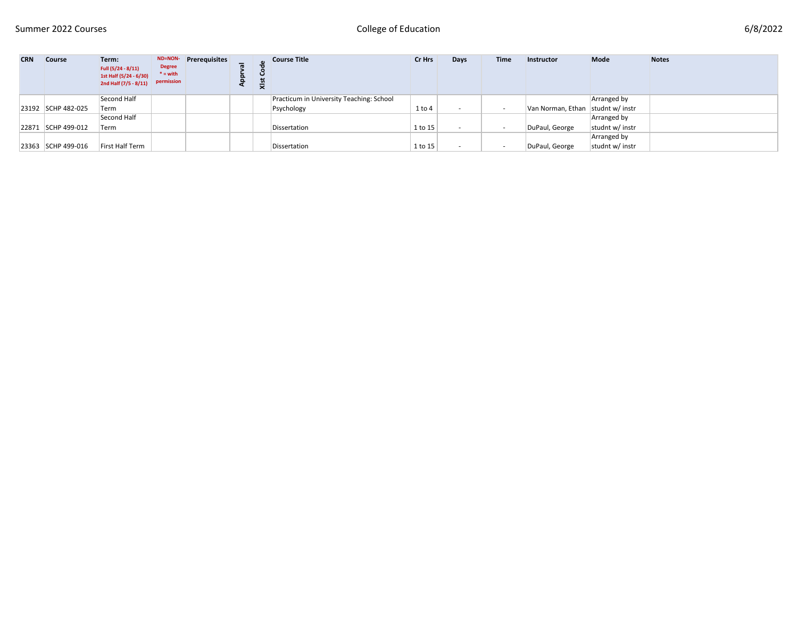| <b>CRN</b> | <b>Course</b>      | Term:<br>Full (5/24 - 8/11)<br>1st Half (5/24 - 6/30)<br>2nd Half (7/5 - 8/11) | <b>Degree</b><br>$* =$ with<br>permission | ND=NON- Prerequisites | ₹ | <b>Course Title</b>                      | Cr Hrs     | Days | <b>Time</b> | Instructor                          | <b>Mode</b>     | <b>Notes</b> |
|------------|--------------------|--------------------------------------------------------------------------------|-------------------------------------------|-----------------------|---|------------------------------------------|------------|------|-------------|-------------------------------------|-----------------|--------------|
|            |                    | Second Half                                                                    |                                           |                       |   | Practicum in University Teaching: School |            |      |             |                                     | Arranged by     |              |
|            | 23192 SCHP 482-025 | Term                                                                           |                                           |                       |   | Psychology                               | $1$ to $4$ |      |             | Van Norman, Ethan   studnt w/ instr |                 |              |
|            |                    | Second Half                                                                    |                                           |                       |   |                                          |            |      |             |                                     | Arranged by     |              |
|            | 22871 SCHP 499-012 | Term                                                                           |                                           |                       |   | Dissertation                             | 1 to 15    |      |             | DuPaul, George                      | studnt w/ instr |              |
|            |                    |                                                                                |                                           |                       |   |                                          |            |      |             |                                     | Arranged by     |              |
|            | 23363 SCHP 499-016 | First Half Term                                                                |                                           |                       |   | Dissertation                             | 1 to 15    |      |             | DuPaul, George                      | studnt w/ instr |              |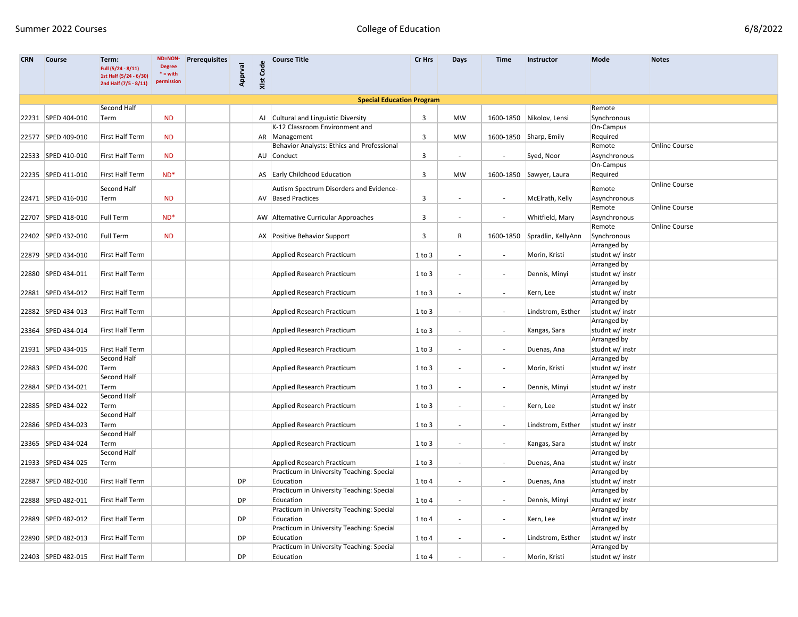| 6/8/2022 |  |
|----------|--|
|----------|--|

| <b>CRN</b> | <b>Course</b>      | Term:<br>Full (5/24 - 8/11)                     | ND=NON-<br><b>Degree</b> | <b>Prerequisites</b> |           |           | <b>Course Title</b>                        | Cr Hrs     | Days                     | <b>Time</b>              | Instructor                   | Mode                   | <b>Notes</b>         |
|------------|--------------------|-------------------------------------------------|--------------------------|----------------------|-----------|-----------|--------------------------------------------|------------|--------------------------|--------------------------|------------------------------|------------------------|----------------------|
|            |                    | 1st Half (5/24 - 6/30)<br>2nd Half (7/5 - 8/11) | $* = with$<br>permission |                      | Apprval   | XIst Code |                                            |            |                          |                          |                              |                        |                      |
|            |                    |                                                 |                          |                      |           |           | <b>Special Education Program</b>           |            |                          |                          |                              |                        |                      |
|            |                    | Second Half                                     |                          |                      |           |           |                                            |            |                          |                          |                              | Remote                 |                      |
|            | 22231 SPED 404-010 | Term                                            | <b>ND</b>                |                      |           |           | AJ Cultural and Linguistic Diversity       | 3          | MW                       |                          | 1600-1850 Nikolov, Lensi     | Synchronous            |                      |
|            |                    |                                                 |                          |                      |           |           | K-12 Classroom Environment and             |            |                          |                          |                              | On-Campus              |                      |
|            | 22577 SPED 409-010 | First Half Term                                 | <b>ND</b>                |                      |           |           | AR Management                              | 3          | MW                       |                          | 1600-1850 Sharp, Emily       | Required               |                      |
|            |                    |                                                 |                          |                      |           |           | Behavior Analysts: Ethics and Professional |            |                          |                          |                              | Remote                 | Online Course        |
|            | 22533 SPED 410-010 | First Half Term                                 | <b>ND</b>                |                      |           |           | AU Conduct                                 | 3          | $\overline{\phantom{a}}$ | $\overline{\phantom{a}}$ | Syed, Noor                   | Asynchronous           |                      |
|            |                    |                                                 |                          |                      |           |           |                                            |            |                          |                          |                              | On-Campus              |                      |
|            | 22235 SPED 411-010 | First Half Term                                 | $ND^*$                   |                      |           |           | AS Early Childhood Education               | 3          | MW                       |                          | 1600-1850 Sawyer, Laura      | Required               |                      |
|            |                    | Second Half                                     |                          |                      |           |           | Autism Spectrum Disorders and Evidence-    |            |                          |                          |                              |                        | <b>Online Course</b> |
|            |                    |                                                 | <b>ND</b>                |                      |           |           | AV Based Practices                         |            |                          |                          |                              | Remote<br>Asynchronous |                      |
|            | 22471 SPED 416-010 | Term                                            |                          |                      |           |           |                                            | 3          |                          | $\overline{\phantom{a}}$ | McElrath, Kelly              | Remote                 | <b>Online Course</b> |
|            |                    | <b>Full Term</b>                                | $ND^*$                   |                      |           |           | AW Alternative Curricular Approaches       |            |                          |                          | Whitfield, Mary              | Asynchronous           |                      |
|            | 22707 SPED 418-010 |                                                 |                          |                      |           |           |                                            | 3          | $\overline{\phantom{a}}$ | $\overline{\phantom{a}}$ |                              | Remote                 | Online Course        |
|            | 22402 SPED 432-010 | Full Term                                       | <b>ND</b>                |                      |           |           | AX Positive Behavior Support               | 3          | $\mathsf{R}$             |                          | 1600-1850 Spradlin, KellyAnn | Synchronous            |                      |
|            |                    |                                                 |                          |                      |           |           |                                            |            |                          |                          |                              | Arranged by            |                      |
|            | 22879 SPED 434-010 | <b>First Half Term</b>                          |                          |                      |           |           | Applied Research Practicum                 | $1$ to $3$ |                          | $\overline{\phantom{a}}$ | Morin, Kristi                | studnt w/ instr        |                      |
|            |                    |                                                 |                          |                      |           |           |                                            |            |                          |                          |                              | Arranged by            |                      |
|            | 22880 SPED 434-011 | First Half Term                                 |                          |                      |           |           | Applied Research Practicum                 | 1 to 3     | $\overline{\phantom{a}}$ |                          | Dennis, Minyi                | studnt w/ instr        |                      |
|            |                    |                                                 |                          |                      |           |           |                                            |            |                          |                          |                              | Arranged by            |                      |
|            | 22881 SPED 434-012 | First Half Term                                 |                          |                      |           |           | Applied Research Practicum                 | $1$ to $3$ |                          | $\blacksquare$           | Kern, Lee                    | studnt w/ instr        |                      |
|            |                    |                                                 |                          |                      |           |           |                                            |            |                          |                          |                              | Arranged by            |                      |
|            | 22882 SPED 434-013 | First Half Term                                 |                          |                      |           |           | Applied Research Practicum                 | $1$ to $3$ |                          | $\overline{\phantom{a}}$ | Lindstrom, Esther            | studnt w/ instr        |                      |
|            |                    |                                                 |                          |                      |           |           |                                            |            |                          |                          |                              | Arranged by            |                      |
|            | 23364 SPED 434-014 | First Half Term                                 |                          |                      |           |           | Applied Research Practicum                 | $1$ to $3$ |                          | $\overline{\phantom{a}}$ | Kangas, Sara                 | studnt w/ instr        |                      |
|            |                    |                                                 |                          |                      |           |           |                                            |            |                          |                          |                              | Arranged by            |                      |
|            | 21931 SPED 434-015 | First Half Term                                 |                          |                      |           |           | Applied Research Practicum                 | 1 to 3     | $\overline{\phantom{a}}$ | $\overline{\phantom{a}}$ | Duenas, Ana                  | studnt w/ instr        |                      |
|            |                    | Second Half                                     |                          |                      |           |           |                                            |            |                          |                          |                              | <b>Arranged by</b>     |                      |
|            | 22883 SPED 434-020 | Term                                            |                          |                      |           |           | Applied Research Practicum                 | $1$ to $3$ | $\overline{\phantom{a}}$ | $\overline{\phantom{a}}$ | Morin, Kristi                | studnt w/ instr        |                      |
|            |                    | Second Half                                     |                          |                      |           |           |                                            |            |                          |                          |                              | Arranged by            |                      |
|            | 22884 SPED 434-021 | Term                                            |                          |                      |           |           | Applied Research Practicum                 | $1$ to $3$ |                          | $\overline{\phantom{a}}$ | Dennis, Minyi                | studnt w/ instr        |                      |
|            |                    | Second Half                                     |                          |                      |           |           |                                            |            |                          |                          |                              | Arranged by            |                      |
| 22885      | SPED 434-022       | Term                                            |                          |                      |           |           | Applied Research Practicum                 | 1 to 3     | $\overline{\phantom{a}}$ |                          | Kern, Lee                    | studnt w/ instr        |                      |
|            |                    | Second Half                                     |                          |                      |           |           |                                            |            |                          |                          |                              | Arranged by            |                      |
|            | 22886 SPED 434-023 | Term                                            |                          |                      |           |           | Applied Research Practicum                 | 1 to 3     | $\blacksquare$           | $\overline{\phantom{a}}$ | Lindstrom, Esther            | studnt w/ instr        |                      |
|            |                    | Second Half                                     |                          |                      |           |           |                                            |            |                          |                          |                              | Arranged by            |                      |
|            | 23365 SPED 434-024 | Term                                            |                          |                      |           |           | Applied Research Practicum                 | $1$ to $3$ |                          | $\overline{\phantom{a}}$ | Kangas, Sara                 | studnt w/ instr        |                      |
|            |                    | Second Half                                     |                          |                      |           |           |                                            |            |                          |                          |                              | Arranged by            |                      |
|            | 21933 SPED 434-025 | Term                                            |                          |                      |           |           | Applied Research Practicum                 | $1$ to $3$ |                          | $\overline{\phantom{a}}$ | Duenas, Ana                  | studnt w/ instr        |                      |
|            |                    |                                                 |                          |                      |           |           | Practicum in University Teaching: Special  |            |                          |                          |                              | Arranged by            |                      |
|            | 22887 SPED 482-010 | First Half Term                                 |                          |                      | <b>DP</b> |           | Education                                  | 1 to 4     |                          | $\overline{\phantom{a}}$ | Duenas, Ana                  | studnt w/ instr        |                      |
|            |                    |                                                 |                          |                      |           |           | Practicum in University Teaching: Special  |            |                          |                          |                              | Arranged by            |                      |
|            | 22888 SPED 482-011 | First Half Term                                 |                          |                      | <b>DP</b> |           | Education                                  | $1$ to $4$ | $\overline{\phantom{a}}$ | $\blacksquare$           | Dennis, Minyi                | studnt w/ instr        |                      |
|            |                    |                                                 |                          |                      |           |           | Practicum in University Teaching: Special  |            |                          |                          |                              | Arranged by            |                      |
|            | 22889 SPED 482-012 | First Half Term                                 |                          |                      | <b>DP</b> |           | Education                                  | 1 to 4     | $\overline{\phantom{a}}$ | $\overline{\phantom{a}}$ | Kern, Lee                    | studnt w/ instr        |                      |
|            |                    |                                                 |                          |                      |           |           | Practicum in University Teaching: Special  |            |                          |                          |                              | Arranged by            |                      |
|            | 22890 SPED 482-013 | First Half Term                                 |                          |                      | <b>DP</b> |           | Education                                  | 1 to 4     | $\overline{\phantom{a}}$ | $\overline{\phantom{a}}$ | Lindstrom, Esther            | studnt w/ instr        |                      |
|            |                    |                                                 |                          |                      |           |           | Practicum in University Teaching: Special  |            |                          |                          |                              | Arranged by            |                      |
|            | 22403 SPED 482-015 | First Half Term                                 |                          |                      | DP        |           | Education                                  | $1$ to $4$ | $\overline{\phantom{a}}$ | $\overline{\phantom{a}}$ | Morin, Kristi                | studnt w/ instr        |                      |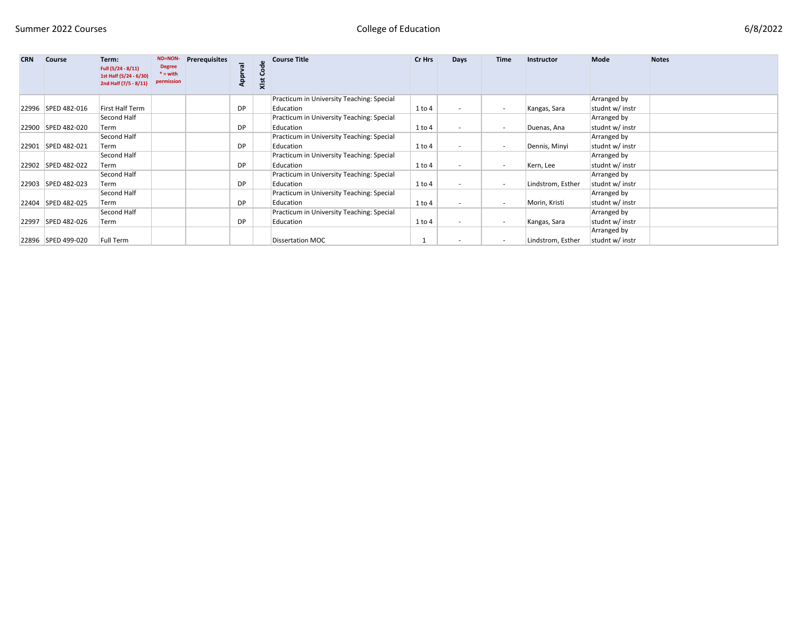| 6/8/2022 |  |
|----------|--|
|----------|--|

| <b>CRN</b> | <b>Course</b>      | Term:<br>Full (5/24 - 8/11)<br>1st Half (5/24 - 6/30)<br>2nd Half (7/5 - 8/11) | ND=NON-<br><b>Degree</b><br>$* =$ with<br>permission | <b>Prerequisites</b> | App | රි<br>Xlst | <b>Course Title</b>                       | Cr Hrs     | Days                     | <b>Time</b>              | Instructor        | <b>Mode</b>     | <b>Notes</b> |
|------------|--------------------|--------------------------------------------------------------------------------|------------------------------------------------------|----------------------|-----|------------|-------------------------------------------|------------|--------------------------|--------------------------|-------------------|-----------------|--------------|
|            |                    |                                                                                |                                                      |                      |     |            | Practicum in University Teaching: Special |            |                          |                          |                   | Arranged by     |              |
|            | 22996 SPED 482-016 | First Half Term                                                                |                                                      |                      | DP. |            | Education                                 | $1$ to $4$ | $\overline{\phantom{a}}$ | $\overline{\phantom{0}}$ | Kangas, Sara      | studnt w/ instr |              |
|            |                    | Second Half                                                                    |                                                      |                      |     |            | Practicum in University Teaching: Special |            |                          |                          |                   | Arranged by     |              |
|            | 22900 SPED 482-020 | Term                                                                           |                                                      |                      | DP. |            | Education                                 | $1$ to $4$ | $\overline{\phantom{a}}$ |                          | Duenas, Ana       | studnt w/ instr |              |
|            |                    | Second Half                                                                    |                                                      |                      |     |            | Practicum in University Teaching: Special |            |                          |                          |                   | Arranged by     |              |
|            | 22901 SPED 482-021 | Term                                                                           |                                                      |                      | DP. |            | Education                                 | $1$ to $4$ | $\overline{\phantom{a}}$ | $\overline{\phantom{0}}$ | Dennis, Minyi     | studnt w/ instr |              |
|            |                    | Second Half                                                                    |                                                      |                      |     |            | Practicum in University Teaching: Special |            |                          |                          |                   | Arranged by     |              |
|            | 22902 SPED 482-022 | Term                                                                           |                                                      |                      | DP. |            | Education                                 | $1$ to $4$ | $\overline{\phantom{a}}$ |                          | Kern, Lee         | studnt w/ instr |              |
|            |                    | Second Half                                                                    |                                                      |                      |     |            | Practicum in University Teaching: Special |            |                          |                          |                   | Arranged by     |              |
|            | 22903 SPED 482-023 | Term                                                                           |                                                      |                      | DP  |            | Education                                 | $1$ to $4$ | $\overline{\phantom{a}}$ | $\sim$                   | Lindstrom, Esther | studnt w/ instr |              |
|            |                    | Second Half                                                                    |                                                      |                      |     |            | Practicum in University Teaching: Special |            |                          |                          |                   | Arranged by     |              |
|            | 22404 SPED 482-025 | Term                                                                           |                                                      |                      | DP. |            | Education                                 | $1$ to $4$ | $\overline{\phantom{a}}$ | $\sim$                   | Morin, Kristi     | studnt w/ instr |              |
|            |                    | Second Half                                                                    |                                                      |                      |     |            | Practicum in University Teaching: Special |            |                          |                          |                   | Arranged by     |              |
|            | 22997 SPED 482-026 | Term                                                                           |                                                      |                      | DP  |            | Education                                 | $1$ to $4$ | $\overline{\phantom{a}}$ | $\overline{\phantom{a}}$ | Kangas, Sara      | studnt w/ instr |              |
|            |                    |                                                                                |                                                      |                      |     |            |                                           |            |                          |                          |                   | Arranged by     |              |
|            | 22896 SPED 499-020 | Full Term                                                                      |                                                      |                      |     |            | Dissertation MOC                          |            | $\overline{\phantom{a}}$ | $\overline{\phantom{0}}$ | Lindstrom, Esther | studnt w/ instr |              |